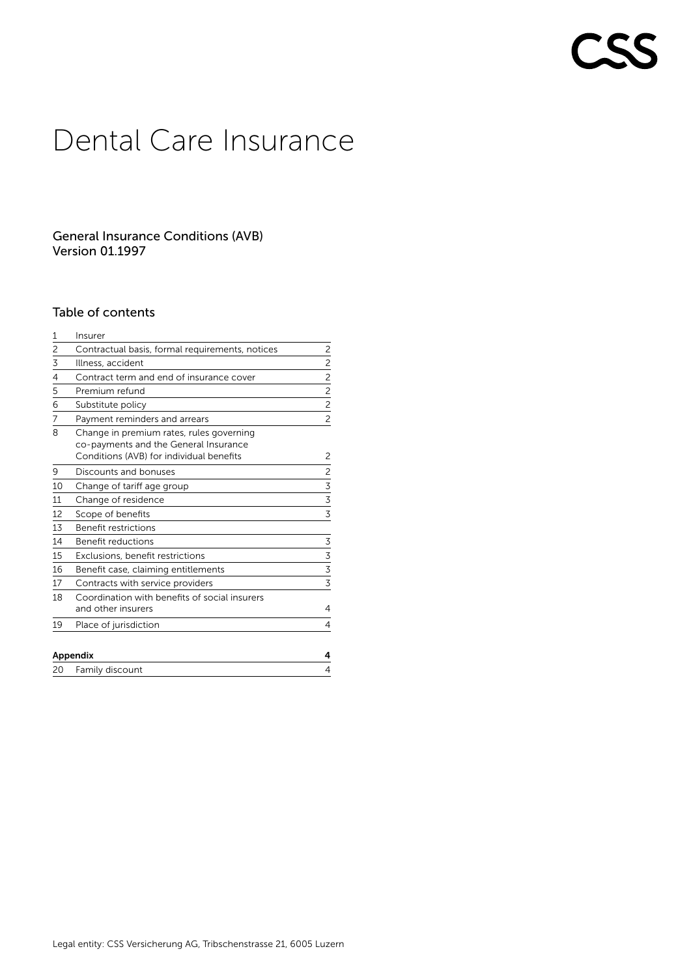# **CSS**

# Dental Care Insurance

# General Insurance Conditions (AVB) Version 01.1997

# Table of contents

| 1  | Insurer                                                                                                                       |                         |
|----|-------------------------------------------------------------------------------------------------------------------------------|-------------------------|
| 2  | Contractual basis, formal requirements, notices                                                                               | 2                       |
| 3  | Illness, accident                                                                                                             | $\overline{\mathbf{c}}$ |
| 4  | Contract term and end of insurance cover                                                                                      | $\overline{c}$          |
| 5  | Premium refund                                                                                                                | $\overline{c}$          |
| 6  | Substitute policy                                                                                                             | $\overline{c}$          |
| 7  | Payment reminders and arrears                                                                                                 | $\overline{c}$          |
| 8  | Change in premium rates, rules governing<br>co-payments and the General Insurance<br>Conditions (AVB) for individual benefits | 2                       |
| 9  | Discounts and bonuses                                                                                                         | 2                       |
| 10 | Change of tariff age group                                                                                                    | 3                       |
| 11 | Change of residence                                                                                                           | 3                       |
| 12 | Scope of benefits                                                                                                             | 3                       |
| 13 | Benefit restrictions                                                                                                          |                         |
| 14 | Benefit reductions                                                                                                            | 3                       |
| 15 | Exclusions, benefit restrictions                                                                                              | 3                       |
| 16 | Benefit case, claiming entitlements                                                                                           | 3                       |
| 17 | Contracts with service providers                                                                                              | 3                       |
| 18 | Coordination with benefits of social insurers<br>and other insurers                                                           | 4                       |
| 19 | Place of jurisdiction                                                                                                         | 4                       |
|    | Appendix                                                                                                                      | 4                       |
| 20 | Family discount                                                                                                               | 4                       |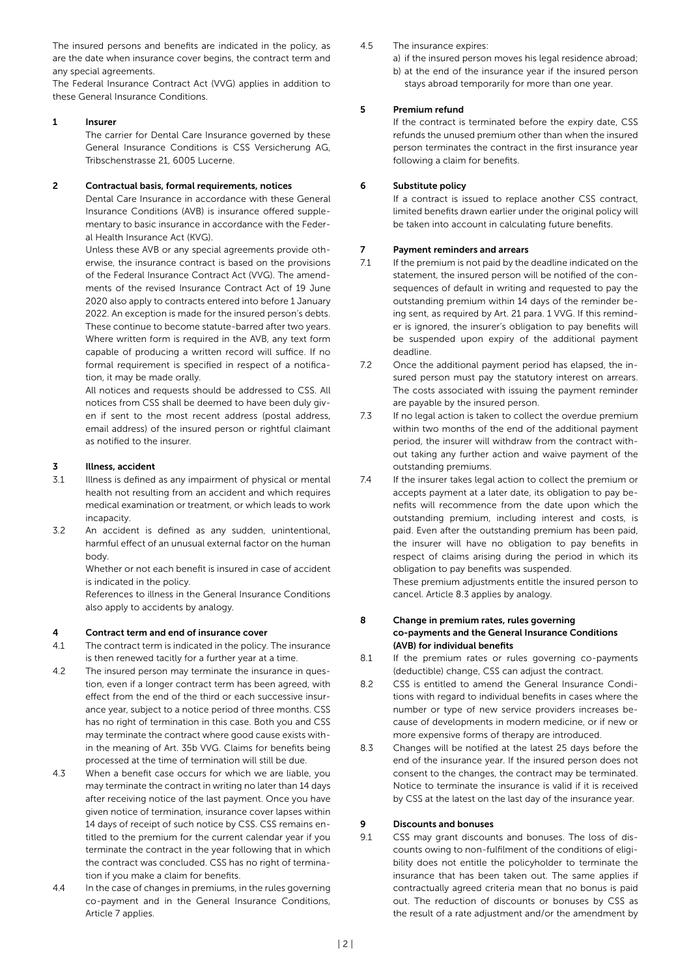The insured persons and benefits are indicated in the policy, as are the date when insurance cover begins, the contract term and any special agreements.

The Federal Insurance Contract Act (VVG) applies in addition to these General Insurance Conditions.

#### 1 Insurer

The carrier for Dental Care Insurance governed by these General Insurance Conditions is CSS Versicherung AG, Tribschenstrasse 21, 6005 Lucerne.

#### 2 Contractual basis, formal requirements, notices

Dental Care Insurance in accordance with these General Insurance Conditions (AVB) is insurance offered supplementary to basic insurance in accordance with the Federal Health Insurance Act (KVG).

Unless these AVB or any special agreements provide otherwise, the insurance contract is based on the provisions of the Federal Insurance Contract Act (VVG). The amendments of the revised Insurance Contract Act of 19 June 2020 also apply to contracts entered into before 1 January 2022. An exception is made for the insured person's debts. These continue to become statute-barred after two years. Where written form is required in the AVB, any text form capable of producing a written record will suffice. If no formal requirement is specified in respect of a notification, it may be made orally.

All notices and requests should be addressed to CSS. All notices from CSS shall be deemed to have been duly given if sent to the most recent address (postal address, email address) of the insured person or rightful claimant as notified to the insurer.

#### 3 Illness, accident

- 3.1 Illness is defined as any impairment of physical or mental health not resulting from an accident and which requires medical examination or treatment, or which leads to work incapacity
- 3.2 An accident is defined as any sudden, unintentional, harmful effect of an unusual external factor on the human body.

Whether or not each benefit is insured in case of accident is indicated in the policy.

References to illness in the General Insurance Conditions also apply to accidents by analogy.

#### 4 Contract term and end of insurance cover

- 4.1 The contract term is indicated in the policy. The insurance is then renewed tacitly for a further year at a time.
- 4.2 The insured person may terminate the insurance in question, even if a longer contract term has been agreed, with effect from the end of the third or each successive insurance year, subject to a notice period of three months. CSS has no right of termination in this case. Both you and CSS may terminate the contract where good cause exists within the meaning of Art. 35b VVG. Claims for benefits being processed at the time of termination will still be due.
- 4.3 When a benefit case occurs for which we are liable, you may terminate the contract in writing no later than 14 days after receiving notice of the last payment. Once you have given notice of termination, insurance cover lapses within 14 days of receipt of such notice by CSS. CSS remains entitled to the premium for the current calendar year if you terminate the contract in the year following that in which the contract was concluded. CSS has no right of termination if you make a claim for benefits.
- 4.4 In the case of changes in premiums, in the rules governing co-payment and in the General Insurance Conditions, Article 7 applies.

#### 4.5 The insurance expires:

a) if the insured person moves his legal residence abroad; b) at the end of the insurance year if the insured person stays abroad temporarily for more than one year.

#### 5 Premium refund

If the contract is terminated before the expiry date, CSS refunds the unused premium other than when the insured person terminates the contract in the first insurance year following a claim for benefits.

#### 6 Substitute policy

If a contract is issued to replace another CSS contract, limited benefits drawn earlier under the original policy will be taken into account in calculating future benefits.

#### 7 Payment reminders and arrears

- 7.1 If the premium is not paid by the deadline indicated on the statement, the insured person will be notified of the consequences of default in writing and requested to pay the outstanding premium within 14 days of the reminder being sent, as required by Art. 21 para. 1 VVG. If this reminder is ignored, the insurer's obligation to pay benefits will be suspended upon expiry of the additional payment deadline.
- 7.2 Once the additional payment period has elapsed, the insured person must pay the statutory interest on arrears. The costs associated with issuing the payment reminder are payable by the insured person.
- 7.3 If no legal action is taken to collect the overdue premium within two months of the end of the additional payment period, the insurer will withdraw from the contract without taking any further action and waive payment of the outstanding premiums.
- 7.4 If the insurer takes legal action to collect the premium or accepts payment at a later date, its obligation to pay benefits will recommence from the date upon which the outstanding premium, including interest and costs, is paid. Even after the outstanding premium has been paid, the insurer will have no obligation to pay benefits in respect of claims arising during the period in which its obligation to pay benefits was suspended.

These premium adjustments entitle the insured person to cancel. Article 8.3 applies by analogy.

- 8 Change in premium rates, rules governing co-payments and the General Insurance Conditions (AVB) for individual benefits
- 8.1 If the premium rates or rules governing co-payments (deductible) change, CSS can adjust the contract.
- 8.2 CSS is entitled to amend the General Insurance Conditions with regard to individual benefits in cases where the number or type of new service providers increases because of developments in modern medicine, or if new or more expensive forms of therapy are introduced.
- 8.3 Changes will be notified at the latest 25 days before the end of the insurance year. If the insured person does not consent to the changes, the contract may be terminated. Notice to terminate the insurance is valid if it is received by CSS at the latest on the last day of the insurance year.

#### 9 Discounts and bonuses

9.1 CSS may grant discounts and bonuses. The loss of discounts owing to non-fulfilment of the conditions of eligibility does not entitle the policyholder to terminate the insurance that has been taken out. The same applies if contractually agreed criteria mean that no bonus is paid out. The reduction of discounts or bonuses by CSS as the result of a rate adjustment and/or the amendment by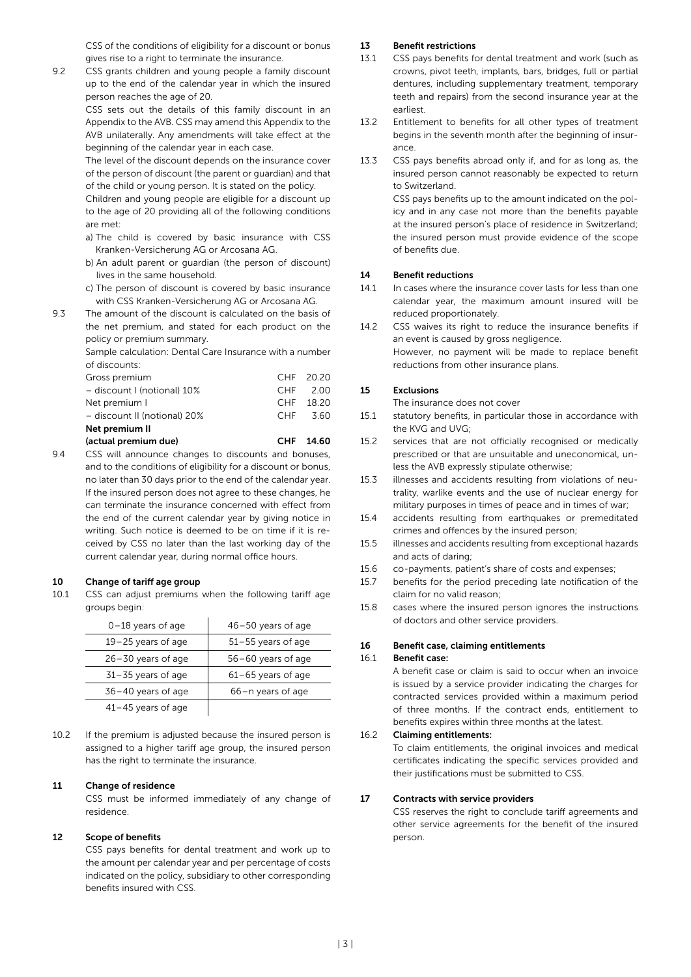CSS of the conditions of eligibility for a discount or bonus gives rise to a right to terminate the insurance.

9.2 CSS grants children and young people a family discount up to the end of the calendar year in which the insured person reaches the age of 20.

> CSS sets out the details of this family discount in an Appendix to the AVB. CSS may amend this Appendix to the AVB unilaterally. Any amendments will take effect at the beginning of the calendar year in each case.

> The level of the discount depends on the insurance cover of the person of discount (the parent or guardian) and that of the child or young person. It is stated on the policy.

> Children and young people are eligible for a discount up to the age of 20 providing all of the following conditions are met:

- a) The child is covered by basic insurance with CSS Kranken-Versicherung AG or Arcosana AG.
- b) An adult parent or guardian (the person of discount) lives in the same household.
- c) The person of discount is covered by basic insurance with CSS Kranken-Versicherung AG or Arcosana AG.
- 9.3 The amount of the discount is calculated on the basis of the net premium, and stated for each product on the policy or premium summary.

Sample calculation: Dental Care Insurance with a number of discounts:

| (actual premium due)         |  | CHF 14.60 |  |  |  |
|------------------------------|--|-----------|--|--|--|
| Net premium II               |  |           |  |  |  |
| - discount II (notional) 20% |  | CHF 3.60  |  |  |  |
| Net premium I                |  | CHF 18.20 |  |  |  |
| - discount I (notional) 10%  |  | CHF 2.00  |  |  |  |
| Gross premium                |  | CHF 20.20 |  |  |  |
|                              |  |           |  |  |  |

9.4 CSS will announce changes to discounts and bonuses, and to the conditions of eligibility for a discount or bonus, no later than 30 days prior to the end of the calendar year. If the insured person does not agree to these changes, he can terminate the insurance concerned with effect from the end of the current calendar year by giving notice in writing. Such notice is deemed to be on time if it is received by CSS no later than the last working day of the current calendar year, during normal office hours.

#### 10 Change of tariff age group

10.1 CSS can adjust premiums when the following tariff age groups begin:

| $0-18$ years of age    | $46 - 50$ years of age |
|------------------------|------------------------|
| $19 - 25$ years of age | $51 - 55$ years of age |
| $26 - 30$ years of age | 56-60 years of age     |
| $31 - 35$ years of age | $61-65$ years of age   |
| $36 - 40$ years of age | 66-n years of age      |
| $41 - 45$ years of age |                        |

10.2 If the premium is adjusted because the insured person is assigned to a higher tariff age group, the insured person has the right to terminate the insurance.

#### 11 Change of residence

CSS must be informed immediately of any change of residence.

#### 12 Scope of benefits

CSS pays benefits for dental treatment and work up to the amount per calendar year and per percentage of costs indicated on the policy, subsidiary to other corresponding benefits insured with CSS.

#### 13 Benefit restrictions

- 13.1 CSS pays benefits for dental treatment and work (such as crowns, pivot teeth, implants, bars, bridges, full or partial dentures, including supplementary treatment, temporary teeth and repairs) from the second insurance year at the earliest.
- 13.2 Entitlement to benefits for all other types of treatment begins in the seventh month after the beginning of insurance.
- 13.3 CSS pays benefits abroad only if, and for as long as, the insured person cannot reasonably be expected to return to Switzerland.

CSS pays benefits up to the amount indicated on the policy and in any case not more than the benefits payable at the insured person's place of residence in Switzerland; the insured person must provide evidence of the scope of benefits due.

#### 14 Benefit reductions

- 14.1 In cases where the insurance cover lasts for less than one calendar year, the maximum amount insured will be reduced proportionately.
- 14.2 CSS waives its right to reduce the insurance benefits if an event is caused by gross negligence. However, no payment will be made to replace benefit reductions from other insurance plans.

#### 15 Exclusions

The insurance does not cover

- 15.1 statutory benefits, in particular those in accordance with the KVG and UVG;
- 15.2 services that are not officially recognised or medically prescribed or that are unsuitable and uneconomical, unless the AVB expressly stipulate otherwise;
- 15.3 illnesses and accidents resulting from violations of neutrality, warlike events and the use of nuclear energy for military purposes in times of peace and in times of war;
- 15.4 accidents resulting from earthquakes or premeditated crimes and offences by the insured person;
- 15.5 illnesses and accidents resulting from exceptional hazards and acts of daring;
- 15.6 co-payments, patient's share of costs and expenses;
- 15.7 benefits for the period preceding late notification of the claim for no valid reason;
- 15.8 cases where the insured person ignores the instructions of doctors and other service providers.

#### 16 Benefit case, claiming entitlements

#### 16.1 Benefit case:

A benefit case or claim is said to occur when an invoice is issued by a service provider indicating the charges for contracted services provided within a maximum period of three months. If the contract ends, entitlement to benefits expires within three months at the latest.

#### 16.2 Claiming entitlements:

To claim entitlements, the original invoices and medical certificates indicating the specific services provided and their justifications must be submitted to CSS.

#### 17 Contracts with service providers

CSS reserves the right to conclude tariff agreements and other service agreements for the benefit of the insured person.